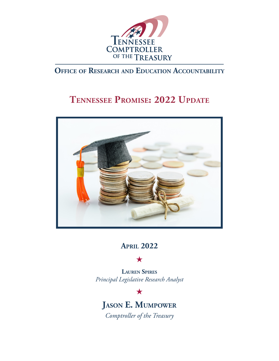

# **Office of Research and Education Accountability**

# **Tennessee Promise: 2022 Update**



**April 2022**

 $\bigstar$ 

**Lauren Spires** *Principal Legislative Research Analyst*

 $\bigstar$ 

**Jason E. Mumpower** *Comptroller of the Treasury*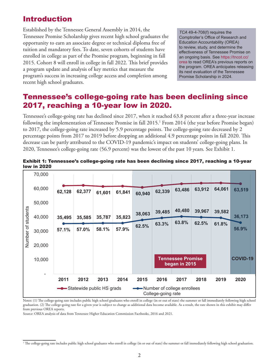### Introduction

Established by the Tennessee General Assembly in 2014, the Tennessee Promise Scholarship gives recent high school graduates the opportunity to earn an associate degree or technical diploma free of tuition and mandatory fees. To date, seven cohorts of students have enrolled in college as part of the Promise program, beginning in fall 2015. Cohort 8 will enroll in college in fall 2022. This brief provides a program update and analysis of key metrics that measure the program's success in increasing college access and completion among recent high school graduates.

*TCA* 49-4-708(f) requires the Comptroller's Office of Research and Education Accountability (OREA) to review, study, and determine the effectiveness of Tennessee Promise on an ongoing basis. See [https://tncot.cc/](https://tncot.cc/orea) [orea](https://tncot.cc/orea) to read OREA's previous reports on the program. OREA anticipates releasing its next evaluation of the Tennessee Promise Scholarship in 2024.

# Tennessee's college-going rate has been declining since 2017, reaching a 10-year low in 2020.

Tennessee's college-going rate has declined since 2017, when it reached 63.8 percent after a three-year increase following the implementation of Tennessee Promise in fall 2015.1 From 2014 (the year before Promise began) to 2017, the college-going rate increased by 5.9 percentage points. The college-going rate decreased by 2 percentage points from 2017 to 2019 before dropping an additional 4.9 percentage points in fall 2020. This decrease can be partly attributed to the COVID-19 pandemic's impact on students' college-going plans. In 2020, Tennessee's college-going rate (56.9 percent) was the lowest of the past 10 years. See Exhibit 1.



#### Exhibit 1: Tennessee's college-going rate has been declining since 2017, reaching a 10-year low in 2020

Notes: (1) The college-going rate includes public high school graduates who enroll in college (in or out of state) the summer or fall immediately following high school graduation. (2) The college-going rate for a given year is subject to change as additional data become available. As a result, the rate shown in this exhibit may differ from previous OREA reports.

Source: OREA analysis of data from Tennessee Higher Education Commission Factbooks, 2016 and 2021.

<sup>&</sup>lt;sup>1</sup> The college-going rate includes public high school graduates who enroll in college (in or out of state) the summer or fall immediately following high school graduation.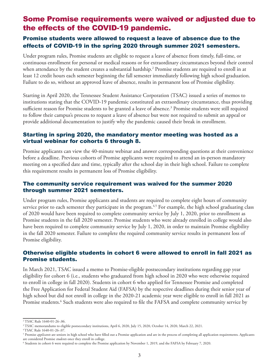### Some Promise requirements were waived or adjusted due to the effects of the COVID-19 pandemic.

#### Promise students were allowed to request a leave of absence due to the effects of COVID-19 in the spring 2020 through summer 2021 semesters.

Under program rules, Promise students are eligible to request a leave of absence from timely, full-time, or continuous enrollment for personal or medical reasons or for extraordinary circumstances beyond their control when attendance by the student creates a substantial hardship. $^2$  Promise students are required to enroll in at least 12 credit hours each semester beginning the fall semester immediately following high school graduation. Failure to do so, without an approved leave of absence, results in permanent loss of Promise eligibility.

Starting in April 2020, the Tennessee Student Assistance Corporation (TSAC) issued a series of memos to institutions stating that the COVID-19 pandemic constituted an extraordinary circumstance, thus providing sufficient reason for Promise students to be granted a leave of absence.<sup>3</sup> Promise students were still required to follow their campus's process to request a leave of absence but were not required to submit an appeal or provide additional documentation to justify why the pandemic caused their break in enrollment.

#### Starting in spring 2020, the mandatory mentor meeting was hosted as a virtual webinar for cohorts 6 through 8.

Promise applicants can view the 40-minute webinar and answer corresponding questions at their convenience before a deadline. Previous cohorts of Promise applicants were required to attend an in-person mandatory meeting on a specified date and time, typically after the school day in their high school. Failure to complete this requirement results in permanent loss of Promise eligibility.

#### The community service requirement was waived for the summer 2020 through summer 2021 semesters.

Under program rules, Promise applicants and students are required to complete eight hours of community service prior to each semester they participate in the program.<sup>4,5</sup> For example, the high school graduating class of 2020 would have been required to complete community service by July 1, 2020, prior to enrollment as Promise students in the fall 2020 semester. Promise students who were already enrolled in college would also have been required to complete community service by July 1, 2020, in order to maintain Promise eligibility in the fall 2020 semester. Failure to complete the required community service results in permanent loss of Promise eligibility.

#### Otherwise eligible students in cohort 6 were allowed to enroll in fall 2021 as Promise students.

In March 2021, TSAC issued a memo to Promise-eligible postsecondary institutions regarding gap year eligibility for cohort 6 (i.e., students who graduated from high school in 2020 who were otherwise required to enroll in college in fall 2020). Students in cohort 6 who applied for Tennessee Promise and completed the Free Application for Federal Student Aid (FAFSA) by the respective deadlines during their senior year of high school but did not enroll in college in the 2020-21 academic year were eligible to enroll in fall 2021 as Promise students.<sup>6</sup> Such students were also required to file the FAFSA and complete community service by

4 TSAC Rule 1640-01-26-.07.

<sup>2</sup> TSAC Rule 1640-01-26-.06.

<sup>3</sup> TSAC memorandums to eligible postsecondary institutions, April 6, 2020, July 15, 2020, October 14, 2020, March 22, 2021.

<sup>&</sup>lt;sup>5</sup> Promise *applicants* are seniors in high school who have filled out a Promise application and are in the process of completing all application requirements. Applicants are considered Promise *students* once they enroll in college.

<sup>6</sup> Students in cohort 6 were required to complete the Promise application by November 1, 2019, and the FAFSA by February 7, 2020.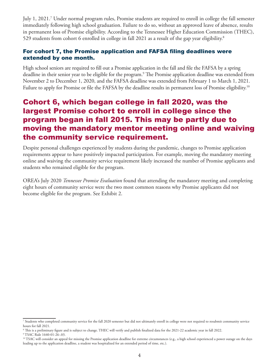July 1, 2021.7 Under normal program rules, Promise students are required to enroll in college the fall semester immediately following high school graduation. Failure to do so, without an approved leave of absence, results in permanent loss of Promise eligibility. According to the Tennessee Higher Education Commission (THEC), 529 students from cohort 6 enrolled in college in fall 2021 as a result of the gap year eligibility.<sup>8</sup>

#### For cohort 7, the Promise application and FAFSA filing deadlines were extended by one month.

High school seniors are required to fill out a Promise application in the fall and file the FAFSA by a spring deadline in their senior year to be eligible for the program.<sup>9</sup> The Promise application deadline was extended from November 2 to December 1, 2020, and the FAFSA deadline was extended from February 1 to March 1, 2021. Failure to apply for Promise or file the FAFSA by the deadline results in permanent loss of Promise eligibility.<sup>10</sup>

### Cohort 6, which began college in fall 2020, was the largest Promise cohort to enroll in college since the program began in fall 2015. This may be partly due to moving the mandatory mentor meeting online and waiving the community service requirement.

Despite personal challenges experienced by students during the pandemic, changes to Promise application requirements appear to have positively impacted participation. For example, moving the mandatory meeting online and waiving the community service requirement likely increased the number of Promise applicants and students who remained eligible for the program.

OREA's July 2020 *Tennessee Promise Evaluation* found that attending the mandatory meeting and completing eight hours of community service were the two most common reasons why Promise applicants did not become eligible for the program. See Exhibit 2.

<sup>7</sup> Students who completed community service for the fall 2020 semester but did not ultimately enroll in college were not required to resubmit community service hours for fall 2021.

<sup>8</sup> This is a preliminary figure and is subject to change. THEC will verify and publish finalized data for the 2021-22 academic year in fall 2022.

<sup>9</sup> TSAC Rule 1640-01-26-.03.

<sup>&</sup>lt;sup>10</sup> TSAC will consider an appeal for missing the Promise application deadline for extreme circumstances (e.g., a high school experienced a power outage on the days leading up to the application deadline, a student was hospitalized for an extended period of time, etc.).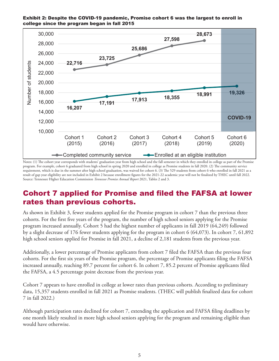

Exhibit 2: Despite the COVID-19 pandemic, Promise cohort 6 was the largest to enroll in college since the program began in fall 2015

Notes: (1) The cohort year corresponds with students' graduation year from high school and the fall semester in which they enrolled in college as part of the Promise program. For example, cohort 6 graduated from high school in spring 2020 and enrolled in college as Promise students in fall 2020. (2) The community service requirement, which is due in the summer after high school graduation, was waived for cohort 6. (3) The 529 students from cohort 6 who enrolled in fall 2021 as a result of gap year eligibility are not included in Exhibit 2 because enrollment figures for the 2021-22 academic year will not be finalized by THEC until fall 2022. Source: Tennessee Higher Education Commission *Tennessee Promise Annual Report* 2021, Tables 2 and 3.

## Cohort 7 applied for Promise and filed the FAFSA at lower rates than previous cohorts.

As shown in Exhibit 3, fewer students applied for the Promise program in cohort 7 than the previous three cohorts. For the first five years of the program, the number of high school seniors applying for the Promise program increased annually. Cohort 5 had the highest number of applicants in fall 2019 (64,249) followed by a slight decrease of 176 fewer students applying for the program in cohort 6 (64,073). In cohort 7, 61,892 high school seniors applied for Promise in fall 2021, a decline of 2,181 students from the previous year.

Additionally, a lower percentage of Promise applicants from cohort 7 filed the FAFSA than the previous four cohorts. For the first six years of the Promise program, the percentage of Promise applicants filing the FAFSA increased annually, reaching 89.7 percent for cohort 6. In cohort 7, 85.2 percent of Promise applicants filed the FAFSA, a 4.5 percentage point decrease from the previous year.

Cohort 7 appears to have enrolled in college at lower rates than previous cohorts. According to preliminary data, 15,357 students enrolled in fall 2021 as Promise students. (THEC will publish finalized data for cohort 7 in fall 2022.)

Although participation rates declined for cohort 7, extending the application and FAFSA filing deadlines by one month likely resulted in more high school seniors applying for the program and remaining eligible than would have otherwise.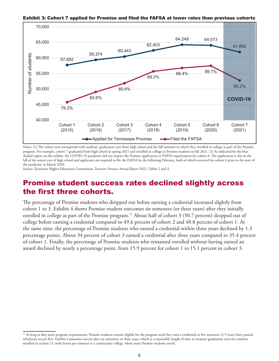

Exhibit 3: Cohort 7 applied for Promise and filed the FAFSA at lower rates than previous cohorts **27,598** t **3: Cohort 7 annlied for Promise and filed the FAFSA** at lower rates than

Notes: (1) The cohort year corresponds with students' graduation year from high school and the fall semester in which they enrolled in college as part of the Promise program. For example, cohort 7 graduated from high school in spring 2021 and enrolled in college as Promise students in fall 2021. (2) As indicated by the blue shaded region on the exhibit, the COVID-19 pandemic did not impact the Promise application or FAFSA requirements for cohort 6. The application is due in the fall of the senior year of high school and applicants are required to file the FAFSA by the following February, both of which occurred for cohort 6 prior to the start of the pandemic in March 2020.

Source: Tennessee Higher Education Commission *Tennessee Promise Annual Report* 2021, Tables 2 and 3.

### Promise student success rates declined slightly across the first three cohorts.

The percentage of Promise students who dropped out before earning a credential increased slightly from cohort 1 to 3. Exhibit 4 shows Promise student outcomes six semesters (or three years) after they initially enrolled in college as part of the Promise program.<sup>11</sup> About half of cohort 3 (50.7 percent) dropped out of college before earning a credential compared to 49.6 percent of cohort 2 and 48.8 percent of cohort 1. At the same time, the percentage of Promise students who earned a credential within three years declined by 1.3 percentage points. About 34 percent of cohort 3 earned a credential after three years compared to 35.4 percent of cohort 1. Finally, the percentage of Promise students who remained enrolled without having earned an award declined by nearly a percentage point, from 15.9 percent for cohort 1 to 15.1 percent in cohort 3.

 $11$  As long as they meet program requirements, Promise students remain eligible for the program until they earn a credential or five semesters (2.5 years) have passed, whichever occurs first. Exhibit 4 measures success after six semesters, or three years, which is a reasonable length of time to measure graduation rates for students enrolled in at least 12 credit hours per semester at a community college, where most Promise students enroll.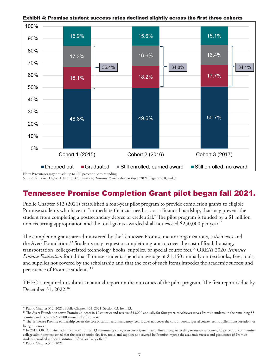

Exhibit 4: Promise student success rates declined slightly across the first three cohorts

Note: Percentages may not add up to 100 percent due to rounding.

Source: Tennessee Higher Education Commission, *Tennessee Promise Annual Report* 2021, Figures 7, 8, and 9.

# Tennessee Promise Completion Grant pilot began fall 2021.

Public Chapter 512 (2021) established a four-year pilot program to provide completion grants to eligible Promise students who have an "immediate financial need . . . or a financial hardship, that may prevent the student from completing a postsecondary degree or credential." The pilot program is funded by a \$1 million non-recurring appropriation and the total grants awarded shall not exceed \$250,000 per year.<sup>12</sup>

The completion grants are administered by the Tennessee Promise mentor organizations, tnAchieves and the Ayers Foundation.13 Students may request a completion grant to cover the cost of food, housing, transportation, college-related technology, books, supplies, or special course fees.14 OREA's 2020 *Tennessee Promise Evaluation* found that Promise students spend an average of \$1,150 annually on textbooks, fees, tools, and supplies not covered by the scholarship and that the cost of such items impedes the academic success and persistence of Promise students.15

THEC is required to submit an annual report on the outcomes of the pilot program. The first report is due by December 31, 2022.16

<sup>&</sup>lt;sup>12</sup> Public Chapter 512, 2021; Public Chapter 454, 2021, Section 63, Item 13.

<sup>&</sup>lt;sup>13</sup> The Ayers Foundation serves Promise students in 12 counties and receives \$33,000 annually for four years. tnAchieves serves Promise students in the remaining 83 counties and receives \$217,000 annually for four years.

<sup>&</sup>lt;sup>14</sup> The Tennessee Promise scholarship covers the cost of tuition and mandatory fees. It does not cover the cost of books, special course fees, supplies, transportation, or living expenses.

<sup>&</sup>lt;sup>15</sup> In 2019, OREA invited administrators from all 13 community colleges to participate in an online survey. According to survey responses, 75 percent of community college administrators stated that the cost of textbooks, fees, tools, and supplies not covered by Promise impede the academic success and persistence of Promise students enrolled at their institution "often" or "very often."

<sup>16</sup> Public Chapter 512, 2021.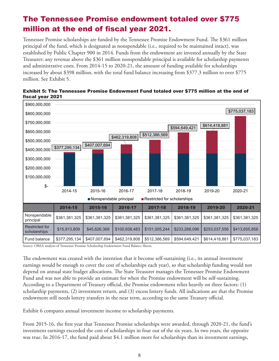# The Tennessee Promise endowment totaled over \$775 million at the end of fiscal year 2021.

Tennessee Promise scholarships are funded by the Tennessee Promise Endowment Fund. The \$361 million principal of the fund, which is designated as nonspendable (i.e., required to be maintained intact), was established by Public Chapter 900 in 2014. Funds from the endowment are invested annually by the State Treasurer; any revenue above the \$361 million nonspendable principal is available for scholarship payments and administrative costs. From 2014-15 to 2020-21, the amount of funding available for scholarships increased by about \$398 million, with the total fund balance increasing from \$377.3 million to over \$775 million. See Exhibit 5.



Exhibit 5: The Tennessee Promise Endowment Fund totaled over \$775 million at the end of fiscal year 2021

Source: OREA analysis of Tennessee Promise Scholarship Endowment Fund Balance Sheets.

The endowment was created with the intention that it become self-sustaining (i.e., its annual investment earnings would be enough to cover the cost of scholarships each year), so that scholarship funding would not depend on annual state budget allocations. The State Treasurer manages the Tennessee Promise Endowment Fund and was not able to provide an estimate for when the Promise endowment will be self-sustaining. According to a Department of Treasury official, the Promise endowment relies heavily on three factors: (1) scholarship payments, (2) investment return, and (3) excess lottery funds. All indications are that the Promise endowment still needs lottery transfers in the near term, according to the same Treasury official.

Exhibit 6 compares annual investment income to scholarship payments.

From 2015-16, the first year that Tennessee Promise scholarships were awarded, through 2020-21, the fund's investment earnings exceeded the cost of scholarships in four out of the six years. In two years, the opposite was true. In 2016-17, the fund paid about \$4.1 million more for scholarships than its investment earnings,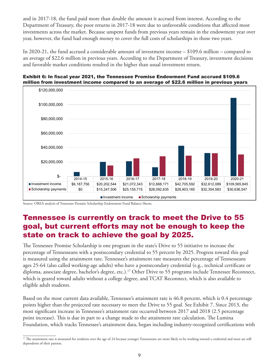and in 2017-18, the fund paid more than double the amount it accrued from interest. According to the Department of Treasury, the poor returns in 2017-18 were due to unfavorable conditions that affected most investments across the market. Because unspent funds from previous years remain in the endowment year over year, however, the fund had enough money to cover the full costs of scholarships in those two years.

In 2020-21, the fund accrued a considerable amount of investment income – \$109.6 million – compared to an average of \$22.6 million in previous years. According to the Department of Treasury, investment decisions and favorable market conditions resulted in the higher than usual investment return.





Source: OREA analysis of Tennessee Promise Scholarship Endowment Fund Balance Sheets.

### Tennessee is currently on track to meet the Drive to 55 goal, but current efforts may not be enough to keep the state on track to achieve the goal by 2025.

The Tennessee Promise Scholarship is one program in the state's Drive to 55 initiative to increase the percentage of Tennesseans with a postsecondary credential to 55 percent by 2025. Progress toward this goal is measured using the attainment rate. Tennessee's attainment rate measures the percentage of Tennesseans ages 25-64 (also called working-age adults) who have a postsecondary credential (e.g., technical certificate or diploma, associate degree, bachelor's degree, etc.).<sup>17</sup> Other Drive to 55 programs include Tennessee Reconnect, which is geared toward adults without a college degree, and TCAT Reconnect, which is also available to eligible adult students.

Based on the most current data available, Tennessee's attainment rate is 46.8 percent, which is 0.4 percentage points higher than the projected rate necessary to meet the Drive to 55 goal. See Exhibit 7. Since 2013, the most significant increase in Tennessee's attainment rate occurred between 2017 and 2018 (2.5 percentage point increase). This is due in part to a change made to the attainment rate calculation. The Lumina Foundation, which tracks Tennessee's attainment data, began including industry-recognized certifications with

<sup>&</sup>lt;sup>17</sup> The attainment rate is measured for residents over the age of 24 because younger Tennesseans are more likely to be working toward a credential and most are still dependents of their parents.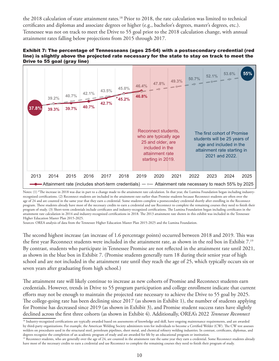the 2018 calculation of state attainment rates.<sup>18</sup> Prior to 2018, the rate calculation was limited to technical certificates and diplomas and associate degrees or higher (e.g., bachelor's degrees, master's degrees, etc.). Tennessee was not on track to meet the Drive to 55 goal prior to the 2018 calculation change, with annual attainment rates falling below projections from 2015 through 2017.





Notes: (1) \*The increase in 2018 was due in part to a change made to the attainment rate calculation. In that year, the Lumina Foundation began including industryrecognized certifications. (2) Reconnect students are included in the attainment rate earlier than Promise students because Reconnect students are often over the age of 24 and are counted in the same year that they earn a credential. Some students complete a postsecondary credential shortly after enrolling in the Reconnect program. These students already have most of the necessary credits to earn a credential and use Reconnect to complete the remaining courses they need to finish their program of study. (3) Short-term credentials include certificates and industry-recognized certifications. The Lumina Foundation began including certificates in the attainment rate calculation in 2014 and industry-recognized certifications in 2018. The 2013 attainment rate shown in this exhibit was included in the Tennessee Higher Education Master Plan 2015-2025.

Sources: OREA analysis of data from the Tennessee Higher Education Master Plan 2015-2025 and the Lumina Foundation.

The second highest increase (an increase of 1.6 percentage points) occurred between 2018 and 2019. This was the first year Reconnect students were included in the attainment rate, as shown in the red box in Exhibit 7.19 By contrast, students who participate in Tennessee Promise are not reflected in the attainment rate until 2021, as shown in the blue box in Exhibit 7. (Promise students generally turn 18 during their senior year of high school and are not included in the attainment rate until they reach the age of 25, which typically occurs six or seven years after graduating from high school.)

The attainment rate will likely continue to increase as new cohorts of Promise and Reconnect students earn credentials. However, trends in Drive to 55 program participation and college enrollment indicate that current efforts may not be enough to maintain the projected rate necessary to achieve the Drive to 55 goal by 2025. The college-going rate has been declining since 2017 (as shown in Exhibit 1), the number of students applying for Promise has decreased since 2019 (as shown in Exhibit 3), and Promise student success rates have slightly declined across the first three cohorts (as shown in Exhibit 4). Additionally, OREA's 2022 *Tennessee Reconnect* 

<sup>&</sup>lt;sup>18</sup> Industry-recognized certifications are typically awarded based on assessments of knowledge and skill, have ongoing maintenance requirements, and are awarded by third-party organizations. For example, the American Welding Society administers tests for individuals to become a Certified Welder (CW). The CW test assesses welders on procedures used in the structural steel, petroleum pipelines, sheet metal, and chemical refinery welding industries. In contrast, certificates, diplomas, and degrees recognize the completion of an academic program of study and are awarded for life by an educational program or institution.

<sup>&</sup>lt;sup>19</sup> Reconnect students, who are generally over the age of 24, are counted in the attainment rate the same year they earn a credential. Some Reconnect students already have most of the necessary credits to earn a credential and use Reconnect to complete the remaining courses they need to finish their program of study.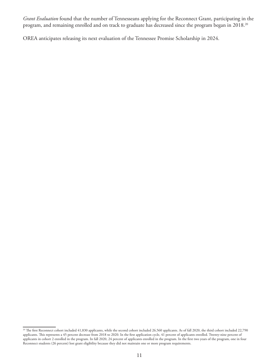*Grant Evaluation* found that the number of Tennesseans applying for the Reconnect Grant, participating in the program, and remaining enrolled and on track to graduate has decreased since the program began in 2018.<sup>20</sup>

OREA anticipates releasing its next evaluation of the Tennessee Promise Scholarship in 2024.

 $^{20}$  The first Reconnect cohort included 41,830 applicants, while the second cohort included 26,560 applicants. As of fall 2020, the third cohort included 22,790  $\,$ applicants. This represents a 45 percent decrease from 2018 to 2020. In the first application cycle, 41 percent of applicants enrolled. Twenty-nine percent of applicants in cohort 2 enrolled in the program. In fall 2020, 24 percent of applicants enrolled in the program. In the first two years of the program, one in four Reconnect students (26 percent) lost grant eligibility because they did not maintain one or more program requirements.